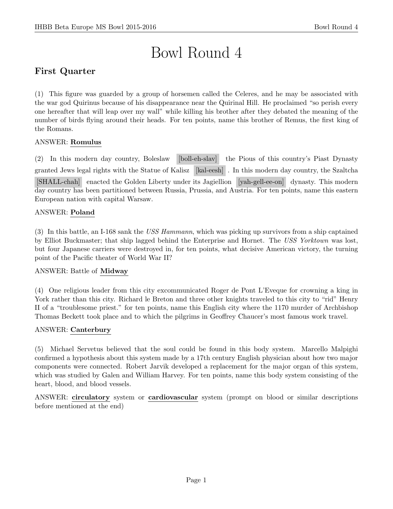# Bowl Round 4

# First Quarter

(1) This figure was guarded by a group of horsemen called the Celeres, and he may be associated with the war god Quirinus because of his disappearance near the Quirinal Hill. He proclaimed "so perish every one hereafter that will leap over my wall" while killing his brother after they debated the meaning of the number of birds flying around their heads. For ten points, name this brother of Remus, the first king of the Romans.

# ANSWER: Romulus

(2) In this modern day country, Boleslaw [boll-eh-slav] the Pious of this country's Piast Dynasty granted Jews legal rights with the Statue of Kalisz [kal-eesh] . In this modern day country, the Szaltcha [SHALL-chah] enacted the Golden Liberty under its Jagiellion [yah-gell-ee-on] dynasty. This modern day country has been partitioned between Russia, Prussia, and Austria. For ten points, name this eastern European nation with capital Warsaw.

# ANSWER: Poland

(3) In this battle, an I-168 sank the USS Hammann, which was picking up survivors from a ship captained by Elliot Buckmaster; that ship lagged behind the Enterprise and Hornet. The USS Yorktown was lost, but four Japanese carriers were destroyed in, for ten points, what decisive American victory, the turning point of the Pacific theater of World War II?

# ANSWER: Battle of Midway

(4) One religious leader from this city excommunicated Roger de Pont L'Eveque for crowning a king in York rather than this city. Richard le Breton and three other knights traveled to this city to "rid" Henry II of a "troublesome priest." for ten points, name this English city where the 1170 murder of Archbishop Thomas Beckett took place and to which the pilgrims in Geoffrey Chaucer's most famous work travel.

# ANSWER: Canterbury

(5) Michael Servetus believed that the soul could be found in this body system. Marcello Malpighi confirmed a hypothesis about this system made by a 17th century English physician about how two major components were connected. Robert Jarvik developed a replacement for the major organ of this system, which was studied by Galen and William Harvey. For ten points, name this body system consisting of the heart, blood, and blood vessels.

ANSWER: circulatory system or cardiovascular system (prompt on blood or similar descriptions before mentioned at the end)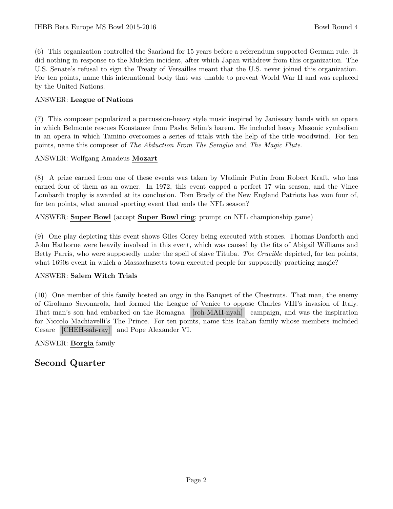(6) This organization controlled the Saarland for 15 years before a referendum supported German rule. It did nothing in response to the Mukden incident, after which Japan withdrew from this organization. The U.S. Senate's refusal to sign the Treaty of Versailles meant that the U.S. never joined this organization. For ten points, name this international body that was unable to prevent World War II and was replaced by the United Nations.

# ANSWER: League of Nations

(7) This composer popularized a percussion-heavy style music inspired by Janissary bands with an opera in which Belmonte rescues Konstanze from Pasha Selim's harem. He included heavy Masonic symbolism in an opera in which Tamino overcomes a series of trials with the help of the title woodwind. For ten points, name this composer of The Abduction From The Seraglio and The Magic Flute.

# ANSWER: Wolfgang Amadeus Mozart

(8) A prize earned from one of these events was taken by Vladimir Putin from Robert Kraft, who has earned four of them as an owner. In 1972, this event capped a perfect 17 win season, and the Vince Lombardi trophy is awarded at its conclusion. Tom Brady of the New England Patriots has won four of, for ten points, what annual sporting event that ends the NFL season?

ANSWER: Super Bowl (accept Super Bowl ring; prompt on NFL championship game)

(9) One play depicting this event shows Giles Corey being executed with stones. Thomas Danforth and John Hathorne were heavily involved in this event, which was caused by the fits of Abigail Williams and Betty Parris, who were supposedly under the spell of slave Tituba. The Crucible depicted, for ten points, what 1690s event in which a Massachusetts town executed people for supposedly practicing magic?

# ANSWER: Salem Witch Trials

(10) One member of this family hosted an orgy in the Banquet of the Chestnuts. That man, the enemy of Girolamo Savonarola, had formed the League of Venice to oppose Charles VIII's invasion of Italy. That man's son had embarked on the Romagna [roh-MAH-nyah] campaign, and was the inspiration for Niccolo Machiavelli's The Prince. For ten points, name this Italian family whose members included Cesare [CHEH-sah-ray] and Pope Alexander VI.

ANSWER: Borgia family

# Second Quarter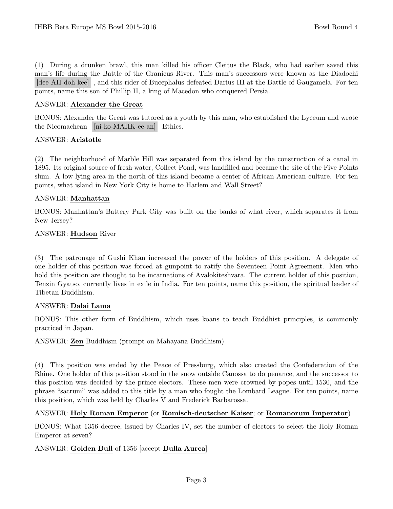(1) During a drunken brawl, this man killed his officer Cleitus the Black, who had earlier saved this man's life during the Battle of the Granicus River. This man's successors were known as the Diadochi [dee-AH-doh-kee] , and this rider of Bucephalus defeated Darius III at the Battle of Gaugamela. For ten points, name this son of Phillip II, a king of Macedon who conquered Persia.

#### ANSWER: Alexander the Great

BONUS: Alexander the Great was tutored as a youth by this man, who established the Lyceum and wrote the Nicomachean [ni-ko-MAHK-ee-an] Ethics.

#### ANSWER: Aristotle

(2) The neighborhood of Marble Hill was separated from this island by the construction of a canal in 1895. Its original source of fresh water, Collect Pond, was landfilled and became the site of the Five Points slum. A low-lying area in the north of this island became a center of African-American culture. For ten points, what island in New York City is home to Harlem and Wall Street?

#### ANSWER: Manhattan

BONUS: Manhattan's Battery Park City was built on the banks of what river, which separates it from New Jersey?

#### ANSWER: Hudson River

(3) The patronage of Gushi Khan increased the power of the holders of this position. A delegate of one holder of this position was forced at gunpoint to ratify the Seventeen Point Agreement. Men who hold this position are thought to be incarnations of Avalokiteshvara. The current holder of this position, Tenzin Gyatso, currently lives in exile in India. For ten points, name this position, the spiritual leader of Tibetan Buddhism.

#### ANSWER: Dalai Lama

BONUS: This other form of Buddhism, which uses koans to teach Buddhist principles, is commonly practiced in Japan.

ANSWER: Zen Buddhism (prompt on Mahayana Buddhism)

(4) This position was ended by the Peace of Pressburg, which also created the Confederation of the Rhine. One holder of this position stood in the snow outside Canossa to do penance, and the successor to this position was decided by the prince-electors. These men were crowned by popes until 1530, and the phrase "sacrum" was added to this title by a man who fought the Lombard League. For ten points, name this position, which was held by Charles V and Frederick Barbarossa.

#### ANSWER: Holy Roman Emperor (or Romisch-deutscher Kaiser; or Romanorum Imperator)

BONUS: What 1356 decree, issued by Charles IV, set the number of electors to select the Holy Roman Emperor at seven?

#### ANSWER: Golden Bull of 1356 [accept Bulla Aurea]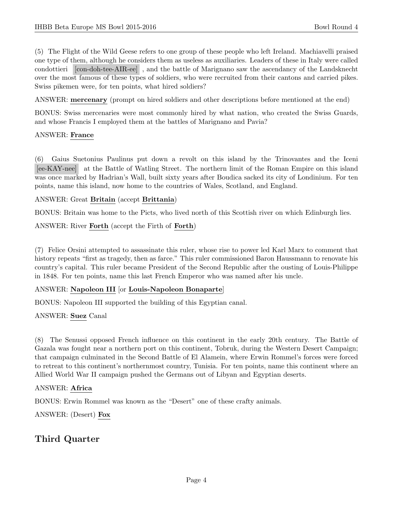(5) The Flight of the Wild Geese refers to one group of these people who left Ireland. Machiavelli praised one type of them, although he considers them as useless as auxiliaries. Leaders of these in Italy were called condottieri [con-doh-tee-AIR-ee] , and the battle of Marignano saw the ascendancy of the Landsknecht over the most famous of these types of soldiers, who were recruited from their cantons and carried pikes. Swiss pikemen were, for ten points, what hired soldiers?

ANSWER: mercenary (prompt on hired soldiers and other descriptions before mentioned at the end)

BONUS: Swiss mercenaries were most commonly hired by what nation, who created the Swiss Guards, and whose Francis I employed them at the battles of Marignano and Pavia?

#### ANSWER: France

(6) Gaius Suetonius Paulinus put down a revolt on this island by the Trinovantes and the Iceni [ee-KAY-nee] at the Battle of Watling Street. The northern limit of the Roman Empire on this island was once marked by Hadrian's Wall, built sixty years after Boudica sacked its city of Londinium. For ten points, name this island, now home to the countries of Wales, Scotland, and England.

#### ANSWER: Great Britain (accept Brittania)

BONUS: Britain was home to the Picts, who lived north of this Scottish river on which Edinburgh lies.

ANSWER: River Forth (accept the Firth of Forth)

(7) Felice Orsini attempted to assassinate this ruler, whose rise to power led Karl Marx to comment that history repeats "first as tragedy, then as farce." This ruler commissioned Baron Haussmann to renovate his country's capital. This ruler became President of the Second Republic after the ousting of Louis-Philippe in 1848. For ten points, name this last French Emperor who was named after his uncle.

#### ANSWER: Napoleon III [or Louis-Napoleon Bonaparte]

BONUS: Napoleon III supported the building of this Egyptian canal.

#### ANSWER: Suez Canal

(8) The Senussi opposed French influence on this continent in the early 20th century. The Battle of Gazala was fought near a northern port on this continent, Tobruk, during the Western Desert Campaign; that campaign culminated in the Second Battle of El Alamein, where Erwin Rommel's forces were forced to retreat to this continent's northernmost country, Tunisia. For ten points, name this continent where an Allied World War II campaign pushed the Germans out of Libyan and Egyptian deserts.

#### ANSWER: Africa

BONUS: Erwin Rommel was known as the "Desert" one of these crafty animals.

ANSWER: (Desert) Fox

# Third Quarter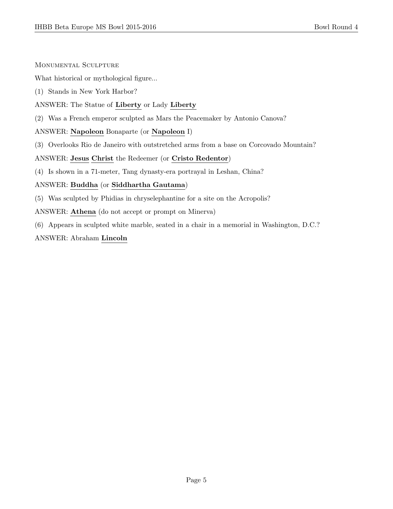Monumental Sculpture

What historical or mythological figure...

- (1) Stands in New York Harbor?
- ANSWER: The Statue of Liberty or Lady Liberty
- (2) Was a French emperor sculpted as Mars the Peacemaker by Antonio Canova?

# ANSWER: Napoleon Bonaparte (or Napoleon I)

(3) Overlooks Rio de Janeiro with outstretched arms from a base on Corcovado Mountain?

#### ANSWER: Jesus Christ the Redeemer (or Cristo Redentor)

(4) Is shown in a 71-meter, Tang dynasty-era portrayal in Leshan, China?

# ANSWER: Buddha (or Siddhartha Gautama)

- (5) Was sculpted by Phidias in chryselephantine for a site on the Acropolis?
- ANSWER: Athena (do not accept or prompt on Minerva)
- (6) Appears in sculpted white marble, seated in a chair in a memorial in Washington, D.C.?

# ANSWER: Abraham Lincoln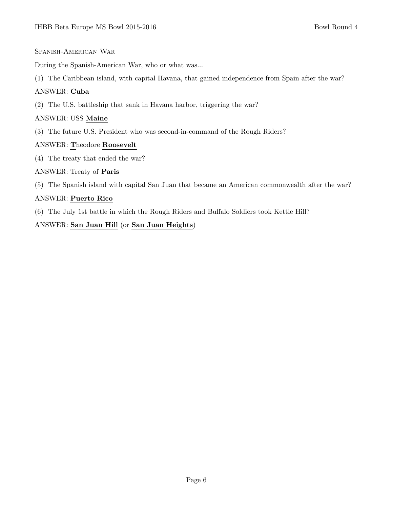Spanish-American War

During the Spanish-American War, who or what was...

(1) The Caribbean island, with capital Havana, that gained independence from Spain after the war?

# ANSWER: Cuba

(2) The U.S. battleship that sank in Havana harbor, triggering the war?

#### ANSWER: USS Maine

(3) The future U.S. President who was second-in-command of the Rough Riders?

# ANSWER: Theodore Roosevelt

(4) The treaty that ended the war?

# ANSWER: Treaty of Paris

(5) The Spanish island with capital San Juan that became an American commonwealth after the war?

# ANSWER: Puerto Rico

(6) The July 1st battle in which the Rough Riders and Buffalo Soldiers took Kettle Hill?

# ANSWER: San Juan Hill (or San Juan Heights)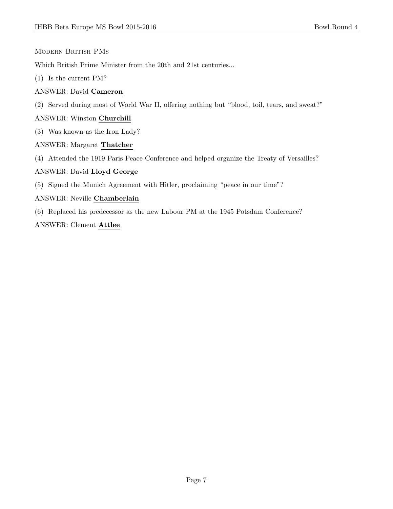#### Modern British PMs

Which British Prime Minister from the 20th and 21st centuries...

- (1) Is the current PM?
- ANSWER: David Cameron
- (2) Served during most of World War II, offering nothing but "blood, toil, tears, and sweat?"

#### ANSWER: Winston Churchill

- (3) Was known as the Iron Lady?
- ANSWER: Margaret Thatcher
- (4) Attended the 1919 Paris Peace Conference and helped organize the Treaty of Versailles?

#### ANSWER: David Lloyd George

(5) Signed the Munich Agreement with Hitler, proclaiming "peace in our time"?

#### ANSWER: Neville Chamberlain

(6) Replaced his predecessor as the new Labour PM at the 1945 Potsdam Conference?

#### ANSWER: Clement Attlee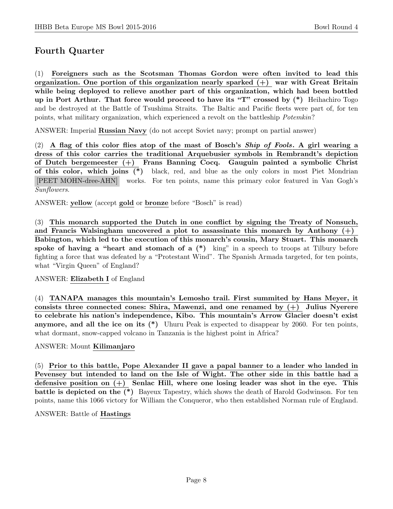# Fourth Quarter

(1) Foreigners such as the Scotsman Thomas Gordon were often invited to lead this organization. One portion of this organization nearly sparked  $(+)$  war with Great Britain while being deployed to relieve another part of this organization, which had been bottled up in Port Arthur. That force would proceed to have its "T" crossed by (\*) Heihachiro Togo and be destroyed at the Battle of Tsushima Straits. The Baltic and Pacific fleets were part of, for ten points, what military organization, which experienced a revolt on the battleship Potemkin?

ANSWER: Imperial Russian Navy (do not accept Soviet navy; prompt on partial answer)

(2) A flag of this color flies atop of the mast of Bosch's *Ship of Fools*. A girl wearing a dress of this color carries the traditional Arquebusier symbols in Rembrandt's depiction of Dutch bergemeester (+) Frans Banning Cocq. Gauguin painted a symbolic Christ of this color, which joins (\*) black, red, and blue as the only colors in most Piet Mondrian [PEET MOHN-dree-AHN] works. For ten points, name this primary color featured in Van Gogh's Sunflowers.

ANSWER: yellow (accept gold or bronze before "Bosch" is read)

(3) This monarch supported the Dutch in one conflict by signing the Treaty of Nonsuch, and Francis Walsingham uncovered a plot to assassinate this monarch by Anthony  $(+)$ Babington, which led to the execution of this monarch's cousin, Mary Stuart. This monarch spoke of having a "heart and stomach of a  $(*)$  king" in a speech to troops at Tilbury before fighting a force that was defeated by a "Protestant Wind". The Spanish Armada targeted, for ten points, what "Virgin Queen" of England?

# ANSWER: Elizabeth I of England

(4) TANAPA manages this mountain's Lemosho trail. First summited by Hans Meyer, it consists three connected cones: Shira, Mawenzi, and one renamed by  $(+)$  Julius Nyerere to celebrate his nation's independence, Kibo. This mountain's Arrow Glacier doesn't exist anymore, and all the ice on its (\*) Uhuru Peak is expected to disappear by 2060. For ten points, what dormant, snow-capped volcano in Tanzania is the highest point in Africa?

# ANSWER: Mount Kilimanjaro

(5) Prior to this battle, Pope Alexander II gave a papal banner to a leader who landed in Pevensey but intended to land on the Isle of Wight. The other side in this battle had a defensive position on  $(+)$  Senlac Hill, where one losing leader was shot in the eye. This battle is depicted on the (\*) Bayeux Tapestry, which shows the death of Harold Godwinson. For ten points, name this 1066 victory for William the Conqueror, who then established Norman rule of England.

#### ANSWER: Battle of Hastings